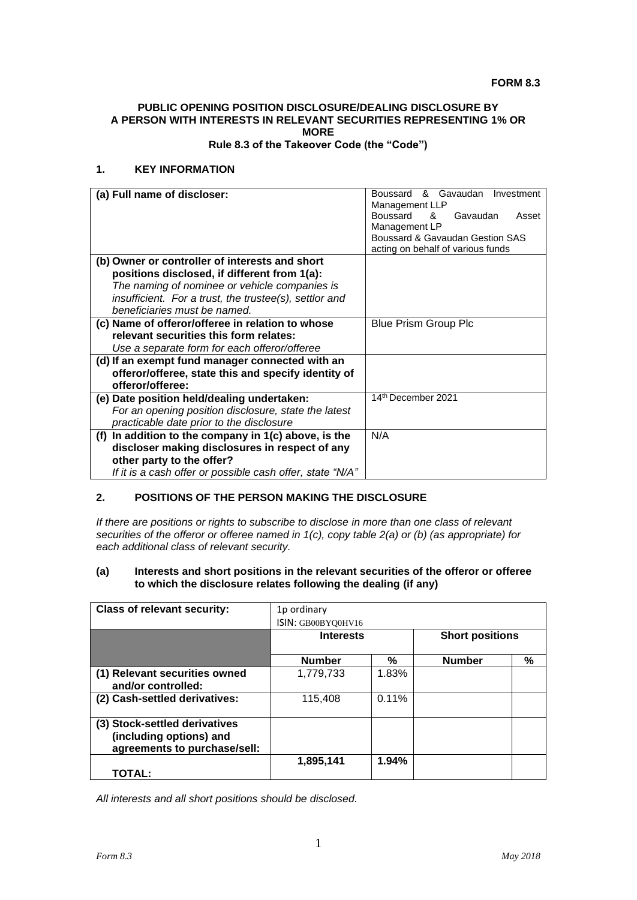#### **FORM 8.3**

## **PUBLIC OPENING POSITION DISCLOSURE/DEALING DISCLOSURE BY A PERSON WITH INTERESTS IN RELEVANT SECURITIES REPRESENTING 1% OR MORE**

**Rule 8.3 of the Takeover Code (the "Code")**

## **1. KEY INFORMATION**

| (a) Full name of discloser:                               | Boussard & Gavaudan Investment       |
|-----------------------------------------------------------|--------------------------------------|
|                                                           | Management LLP                       |
|                                                           | Boussard<br>Gavaudan<br>୍ୟୁ<br>Asset |
|                                                           | Management LP                        |
|                                                           | Boussard & Gavaudan Gestion SAS      |
|                                                           | acting on behalf of various funds    |
| (b) Owner or controller of interests and short            |                                      |
| positions disclosed, if different from 1(a):              |                                      |
| The naming of nominee or vehicle companies is             |                                      |
| insufficient. For a trust, the trustee(s), settlor and    |                                      |
| beneficiaries must be named.                              |                                      |
| (c) Name of offeror/offeree in relation to whose          | <b>Blue Prism Group Plc</b>          |
| relevant securities this form relates:                    |                                      |
| Use a separate form for each offeror/offeree              |                                      |
| (d) If an exempt fund manager connected with an           |                                      |
| offeror/offeree, state this and specify identity of       |                                      |
| offeror/offeree:                                          |                                      |
| (e) Date position held/dealing undertaken:                | 14th December 2021                   |
| For an opening position disclosure, state the latest      |                                      |
| practicable date prior to the disclosure                  |                                      |
| In addition to the company in 1(c) above, is the<br>(f)   | N/A                                  |
| discloser making disclosures in respect of any            |                                      |
| other party to the offer?                                 |                                      |
| If it is a cash offer or possible cash offer, state "N/A" |                                      |

# **2. POSITIONS OF THE PERSON MAKING THE DISCLOSURE**

*If there are positions or rights to subscribe to disclose in more than one class of relevant securities of the offeror or offeree named in 1(c), copy table 2(a) or (b) (as appropriate) for each additional class of relevant security.*

#### **(a) Interests and short positions in the relevant securities of the offeror or offeree to which the disclosure relates following the dealing (if any)**

| <b>Class of relevant security:</b>                                                       | 1p ordinary        |       |                        |   |
|------------------------------------------------------------------------------------------|--------------------|-------|------------------------|---|
|                                                                                          | ISIN: GB00BYQ0HV16 |       |                        |   |
|                                                                                          | <b>Interests</b>   |       | <b>Short positions</b> |   |
|                                                                                          | <b>Number</b>      | %     | <b>Number</b>          | % |
| (1) Relevant securities owned<br>and/or controlled:                                      | 1,779,733          | 1.83% |                        |   |
| (2) Cash-settled derivatives:                                                            | 115.408            | 0.11% |                        |   |
| (3) Stock-settled derivatives<br>(including options) and<br>agreements to purchase/sell: |                    |       |                        |   |
| TOTAL:                                                                                   | 1,895,141          | 1.94% |                        |   |

*All interests and all short positions should be disclosed.*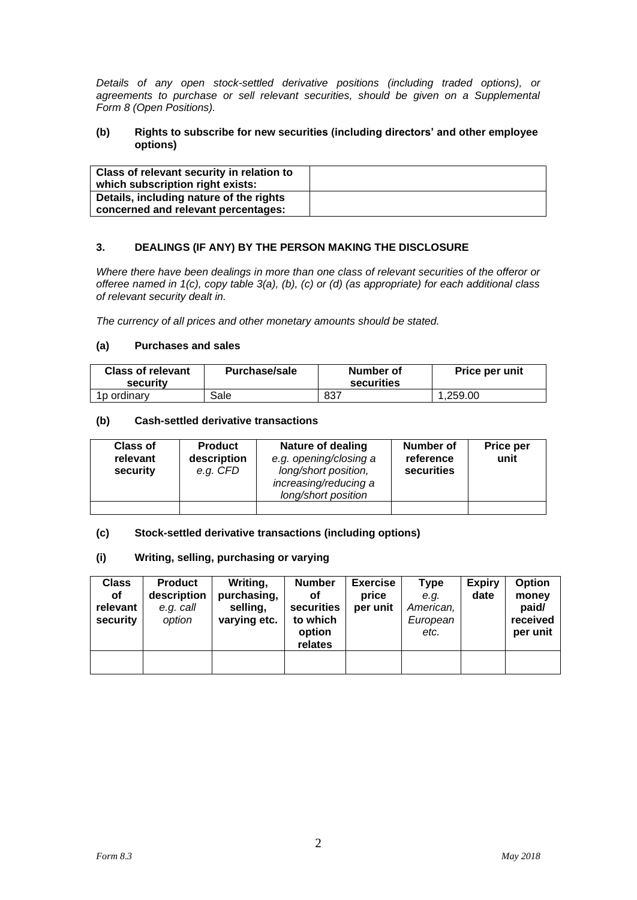*Details of any open stock-settled derivative positions (including traded options), or agreements to purchase or sell relevant securities, should be given on a Supplemental Form 8 (Open Positions).*

#### **(b) Rights to subscribe for new securities (including directors' and other employee options)**

| Class of relevant security in relation to |  |
|-------------------------------------------|--|
| which subscription right exists:          |  |
| Details, including nature of the rights   |  |
| concerned and relevant percentages:       |  |

# **3. DEALINGS (IF ANY) BY THE PERSON MAKING THE DISCLOSURE**

*Where there have been dealings in more than one class of relevant securities of the offeror or offeree named in 1(c), copy table 3(a), (b), (c) or (d) (as appropriate) for each additional class of relevant security dealt in.*

*The currency of all prices and other monetary amounts should be stated.*

## **(a) Purchases and sales**

| <b>Class of relevant</b><br>security | <b>Purchase/sale</b> | Number of<br>securities | Price per unit |
|--------------------------------------|----------------------|-------------------------|----------------|
| 1 <sub>p</sub> ordinary              | Sale                 | 837                     | .259.00        |

#### **(b) Cash-settled derivative transactions**

| <b>Class of</b><br>relevant<br>security | <b>Product</b><br>description<br>e.g. CFD | Nature of dealing<br>e.g. opening/closing a<br>long/short position,<br>increasing/reducing a<br>long/short position | Number of<br>reference<br>securities | Price per<br>unit |
|-----------------------------------------|-------------------------------------------|---------------------------------------------------------------------------------------------------------------------|--------------------------------------|-------------------|
|                                         |                                           |                                                                                                                     |                                      |                   |

## **(c) Stock-settled derivative transactions (including options)**

#### **(i) Writing, selling, purchasing or varying**

| <b>Class</b><br>οf<br>relevant<br>security | <b>Product</b><br>description<br>e.g. call<br>option | Writing,<br>purchasing,<br>selling,<br>varying etc. | <b>Number</b><br>οf<br>securities<br>to which<br>option<br>relates | <b>Exercise</b><br>price<br>per unit | Type<br>e.g.<br>American,<br>European<br>etc. | <b>Expiry</b><br>date | Option<br>money<br>paid/<br>received<br>per unit |
|--------------------------------------------|------------------------------------------------------|-----------------------------------------------------|--------------------------------------------------------------------|--------------------------------------|-----------------------------------------------|-----------------------|--------------------------------------------------|
|                                            |                                                      |                                                     |                                                                    |                                      |                                               |                       |                                                  |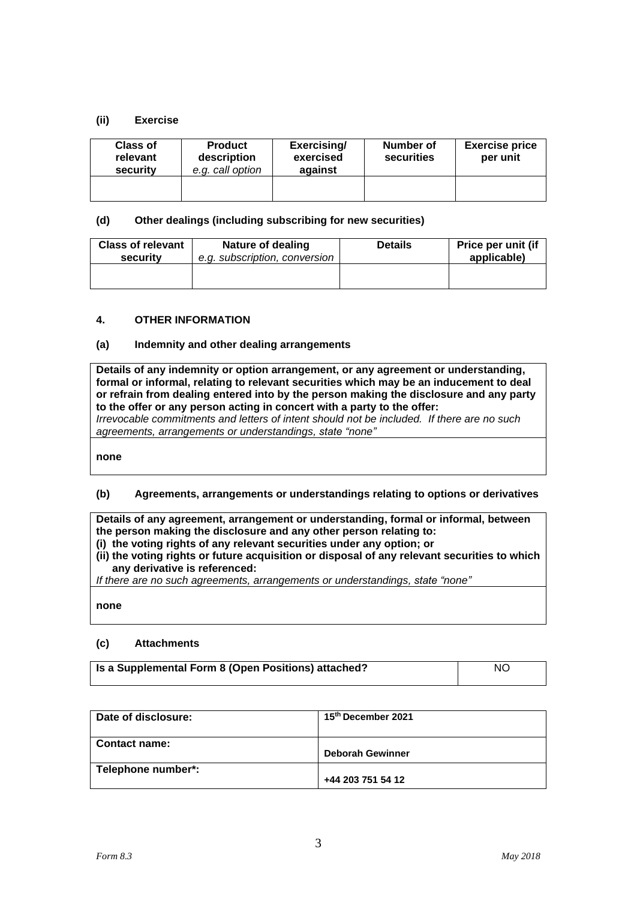## **(ii) Exercise**

| <b>Class of</b><br>relevant<br>security | <b>Product</b><br>description<br>e.g. call option | Exercising/<br>exercised<br>against | Number of<br>securities | <b>Exercise price</b><br>per unit |
|-----------------------------------------|---------------------------------------------------|-------------------------------------|-------------------------|-----------------------------------|
|                                         |                                                   |                                     |                         |                                   |

## **(d) Other dealings (including subscribing for new securities)**

| <b>Class of relevant</b> | Nature of dealing             | <b>Details</b> | Price per unit (if |
|--------------------------|-------------------------------|----------------|--------------------|
| security                 | e.g. subscription, conversion |                | applicable)        |
|                          |                               |                |                    |

## **4. OTHER INFORMATION**

## **(a) Indemnity and other dealing arrangements**

**Details of any indemnity or option arrangement, or any agreement or understanding, formal or informal, relating to relevant securities which may be an inducement to deal or refrain from dealing entered into by the person making the disclosure and any party to the offer or any person acting in concert with a party to the offer:** *Irrevocable commitments and letters of intent should not be included. If there are no such* 

*agreements, arrangements or understandings, state "none"*

**none**

# **(b) Agreements, arrangements or understandings relating to options or derivatives**

**Details of any agreement, arrangement or understanding, formal or informal, between the person making the disclosure and any other person relating to: (i) the voting rights of any relevant securities under any option; or** 

**(ii) the voting rights or future acquisition or disposal of any relevant securities to which any derivative is referenced:**

*If there are no such agreements, arrangements or understandings, state "none"*

**none**

## **(c) Attachments**

| <b>Is a Supplemental Form 8 (Open Positions) attached?</b> | NO. |
|------------------------------------------------------------|-----|
|------------------------------------------------------------|-----|

| Date of disclosure:  | 15th December 2021      |
|----------------------|-------------------------|
| <b>Contact name:</b> | <b>Deborah Gewinner</b> |
| Telephone number*:   | +44 203 751 54 12       |